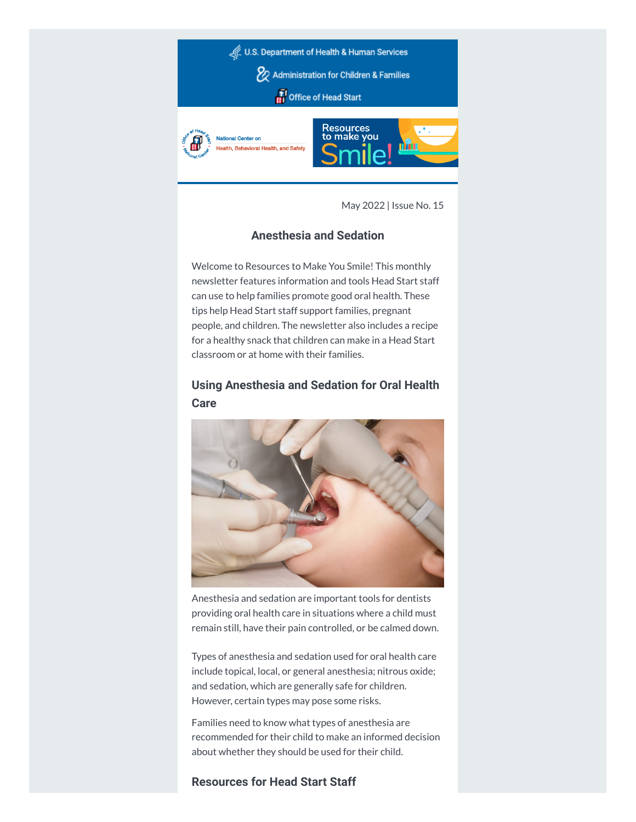

May 2022 | Issue No. 15

## **Anesthesia and Sedation**

Welcome to Resources to Make You Smile! This monthly newsletter features information and tools Head Start staff can use to help families promote good oral health. These tips help Head Start staff support families, pregnant people, and children. The newsletter also includes a recipe for a healthy snack that children can make in a Head Start classroom or at home with their families.

# **Using Anesthesia and Sedation for Oral Health Care**



Anesthesia and sedation are important tools for dentists providing oral health care in situations where a child must remain still, have their pain controlled, or be calmed down.

Types of anesthesia and sedation used for oral health care include topical, local, or general anesthesia; nitrous oxide; and sedation, which are generally safe for children. However, certain types may pose some risks.

Families need to know what types of anesthesia are recommended for their child to make an informed decision about whether they should be used for their child.

### **Resources for Head Start Staff**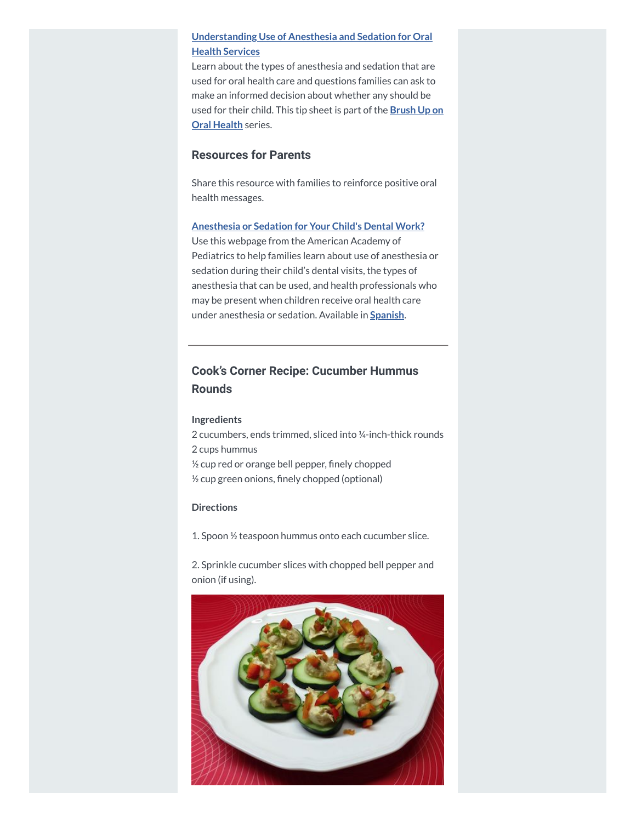## **[Understanding](https://hendall.createsend1.com/t/j-l-zkdhjdt-l-i/) Use of Anesthesia and Sedation for Oral Health Services**

Learn about the types of anesthesia and sedation that are used for oral health care and questions families can ask to make an informed decision about whether any should be used for their child. This tip [sheet is](https://hendall.createsend1.com/t/j-l-zkdhjdt-l-d/) part of the **Brush Up on Oral Health** series.

## **Resources for Parents**

Share this resource with families to reinforce positive oral health messages.

#### **[Anesthesia](https://hendall.createsend1.com/t/j-l-zkdhjdt-l-h/) or Sedation for Your Child's Dental Work?**

Use this webpage from the American Academy of Pediatrics to help families learn about use of anesthesia or sedation during their child's dental visits, the types of anesthesia that can be used, and health professionals who may be present when children receive oral health care under anesthesia or sedation. Available in **[Spanish](https://hendall.createsend1.com/t/j-l-zkdhjdt-l-k/)**.

# **Cook's Corner Recipe: Cucumber Hummus Rounds**

#### **Ingredients**

2 cucumbers, ends trimmed, sliced into ¼-inch-thick rounds 2 cups hummus ½ cup red or orange bell pepper, finely chopped ½ cup green onions, finely chopped (optional)

### **Directions**

1. Spoon ½ teaspoon hummus onto each cucumber slice.

2. Sprinkle cucumber slices with chopped bell pepper and onion (if using).